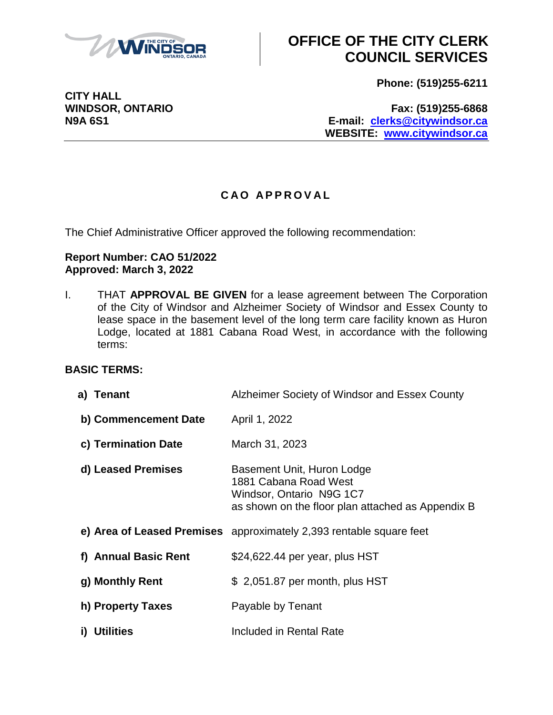

**CITY HALL**

## **OFFICE OF THE CITY CLERK COUNCIL SERVICES**

**Phone: (519)255-6211**

**WINDSOR, ONTARIO Fax: (519)255-6868 N9A 6S1 E-mail: [clerks@citywindsor.ca](mailto:clerks@citywindsor.ca) WEBSITE: [www.citywindsor.ca](http://www.citywindsor.ca/)**

### **C A O A P P R O V A L**

The Chief Administrative Officer approved the following recommendation:

#### **Report Number: CAO 51/2022 Approved: March 3, 2022**

I. THAT **APPROVAL BE GIVEN** for a lease agreement between The Corporation of the City of Windsor and Alzheimer Society of Windsor and Essex County to lease space in the basement level of the long term care facility known as Huron Lodge, located at 1881 Cabana Road West, in accordance with the following terms:

#### **BASIC TERMS:**

| a) Tenant              | Alzheimer Society of Windsor and Essex County                                                                                        |
|------------------------|--------------------------------------------------------------------------------------------------------------------------------------|
| b) Commencement Date   | April 1, 2022                                                                                                                        |
| c) Termination Date    | March 31, 2023                                                                                                                       |
| d) Leased Premises     | Basement Unit, Huron Lodge<br>1881 Cabana Road West<br>Windsor, Ontario N9G 1C7<br>as shown on the floor plan attached as Appendix B |
|                        | e) Area of Leased Premises approximately 2,393 rentable square feet                                                                  |
| f) Annual Basic Rent   | \$24,622.44 per year, plus HST                                                                                                       |
| g) Monthly Rent        | \$2,051.87 per month, plus HST                                                                                                       |
| h) Property Taxes      | Payable by Tenant                                                                                                                    |
| <b>Utilities</b><br>i) | Included in Rental Rate                                                                                                              |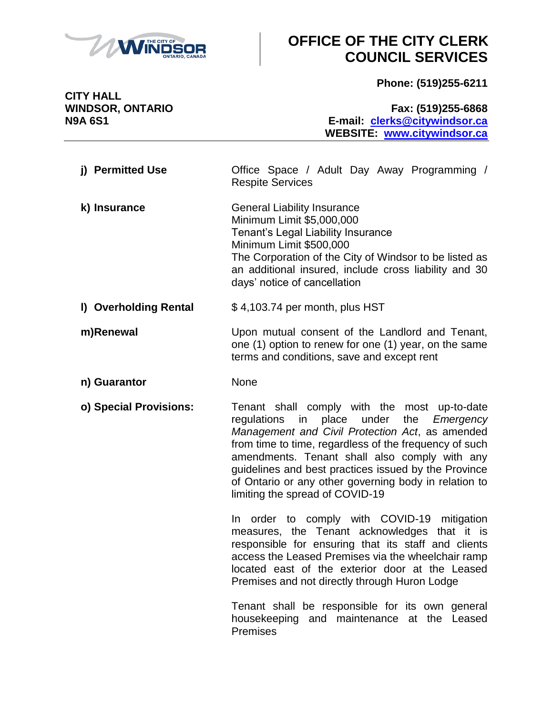

## **OFFICE OF THE CITY CLERK COUNCIL SERVICES**

**Phone: (519)255-6211**

**CITY HALL**

**WINDSOR, ONTARIO Fax: (519)255-6868 N9A 6S1 E-mail: [clerks@citywindsor.ca](mailto:clerks@citywindsor.ca) WEBSITE: [www.citywindsor.ca](http://www.citywindsor.ca/)**

| j) Permitted Use      | Office Space / Adult Day Away Programming /<br><b>Respite Services</b>                                                                                                                                                                                                              |
|-----------------------|-------------------------------------------------------------------------------------------------------------------------------------------------------------------------------------------------------------------------------------------------------------------------------------|
| k) Insurance          | <b>General Liability Insurance</b><br>Minimum Limit \$5,000,000<br>Tenant's Legal Liability Insurance<br>Minimum Limit \$500,000<br>The Corporation of the City of Windsor to be listed as<br>an additional insured, include cross liability and 30<br>days' notice of cancellation |
| I) Overholding Rental | \$4,103.74 per month, plus HST                                                                                                                                                                                                                                                      |

#### **m)Renewal** Upon mutual consent of the Landlord and Tenant, one (1) option to renew for one (1) year, on the same terms and conditions, save and except rent

**n) Guarantor** None

**o) Special Provisions:** Tenant shall comply with the most up-to-date regulations in place under the *Emergency Management and Civil Protection Act*, as amended from time to time, regardless of the frequency of such amendments. Tenant shall also comply with any guidelines and best practices issued by the Province of Ontario or any other governing body in relation to limiting the spread of COVID-19

> In order to comply with COVID-19 mitigation measures, the Tenant acknowledges that it is responsible for ensuring that its staff and clients access the Leased Premises via the wheelchair ramp located east of the exterior door at the Leased Premises and not directly through Huron Lodge

> Tenant shall be responsible for its own general housekeeping and maintenance at the Leased Premises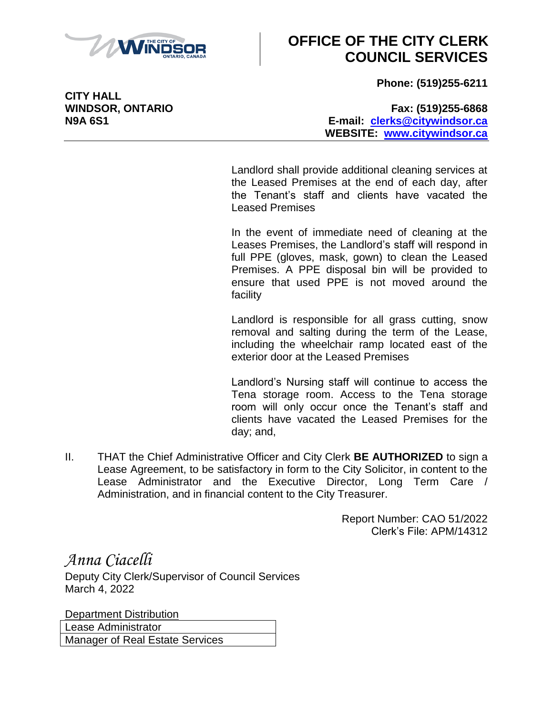

# **OFFICE OF THE CITY CLERK COUNCIL SERVICES**

**Phone: (519)255-6211**

**CITY HALL**

#### **WINDSOR, ONTARIO Fax: (519)255-6868 N9A 6S1 E-mail: [clerks@citywindsor.ca](mailto:clerks@citywindsor.ca) WEBSITE: [www.citywindsor.ca](http://www.citywindsor.ca/)**

Landlord shall provide additional cleaning services at the Leased Premises at the end of each day, after the Tenant's staff and clients have vacated the Leased Premises

In the event of immediate need of cleaning at the Leases Premises, the Landlord's staff will respond in full PPE (gloves, mask, gown) to clean the Leased Premises. A PPE disposal bin will be provided to ensure that used PPE is not moved around the facility

Landlord is responsible for all grass cutting, snow removal and salting during the term of the Lease, including the wheelchair ramp located east of the exterior door at the Leased Premises

Landlord's Nursing staff will continue to access the Tena storage room. Access to the Tena storage room will only occur once the Tenant's staff and clients have vacated the Leased Premises for the day; and,

II. THAT the Chief Administrative Officer and City Clerk **BE AUTHORIZED** to sign a Lease Agreement, to be satisfactory in form to the City Solicitor, in content to the Lease Administrator and the Executive Director, Long Term Care / Administration, and in financial content to the City Treasurer.

> Report Number: CAO 51/2022 Clerk's File: APM/14312

*Anna Ciacelli* Deputy City Clerk/Supervisor of Council Services March 4, 2022

Department Distribution Lease Administrator Manager of Real Estate Services